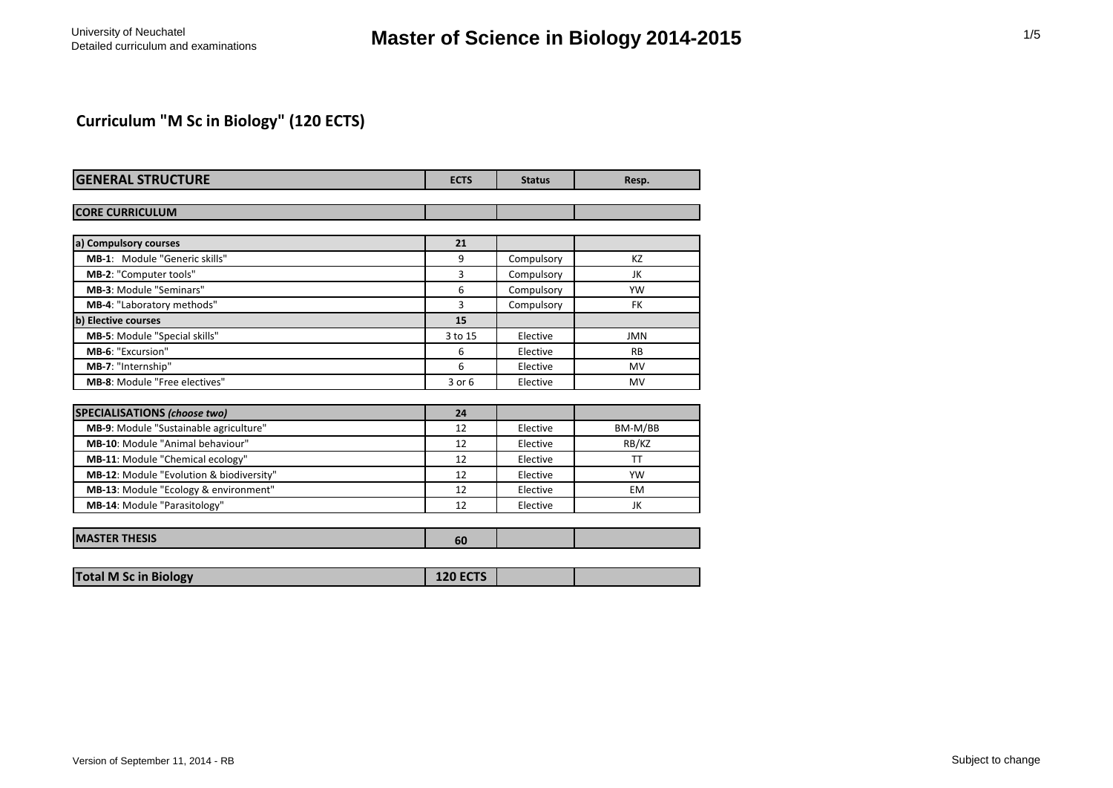## **Curriculum "M Sc in Biology" (120 ECTS)**

| <b>GENERAL STRUCTURE</b>                 | <b>ECTS</b> | <b>Status</b> | Resp.      |
|------------------------------------------|-------------|---------------|------------|
|                                          |             |               |            |
| <b>CORE CURRICULUM</b>                   |             |               |            |
| a) Compulsory courses                    | 21          |               |            |
| MB-1: Module "Generic skills"            | 9           | Compulsory    | KZ         |
| MB-2: "Computer tools"                   | 3           | Compulsory    | JK         |
| <b>MB-3: Module "Seminars"</b>           | 6           | Compulsory    | YW         |
| MB-4: "Laboratory methods"               | 3           | Compulsory    | FK         |
| b) Elective courses                      | 15          |               |            |
| MB-5: Module "Special skills"            | 3 to 15     | Elective      | <b>JMN</b> |
| MB-6: "Excursion"                        | 6           | Elective      | <b>RB</b>  |
| MB-7: "Internship"                       | 6           | Elective      | <b>MV</b>  |
| MB-8: Module "Free electives"            | 3 or 6      | Elective      | <b>MV</b>  |
| <b>SPECIALISATIONS (choose two)</b>      | 24          |               |            |
| MB-9: Module "Sustainable agriculture"   | 12          | Elective      | BM-M/BB    |
| MB-10: Module "Animal behaviour"         | 12          | Elective      | RB/KZ      |
| MB-11: Module "Chemical ecology"         | 12          | Elective      | <b>TT</b>  |
| MB-12: Module "Evolution & biodiversity" | 12          | Elective      | <b>YW</b>  |
| MB-13: Module "Ecology & environment"    | 12          | Elective      | <b>FM</b>  |
| MB-14: Module "Parasitology"             | 12          | Elective      | JK         |
| <b>MASTER THESIS</b>                     | 60          |               |            |

| <b>Total M Sc in Biology</b> |
|------------------------------|
|------------------------------|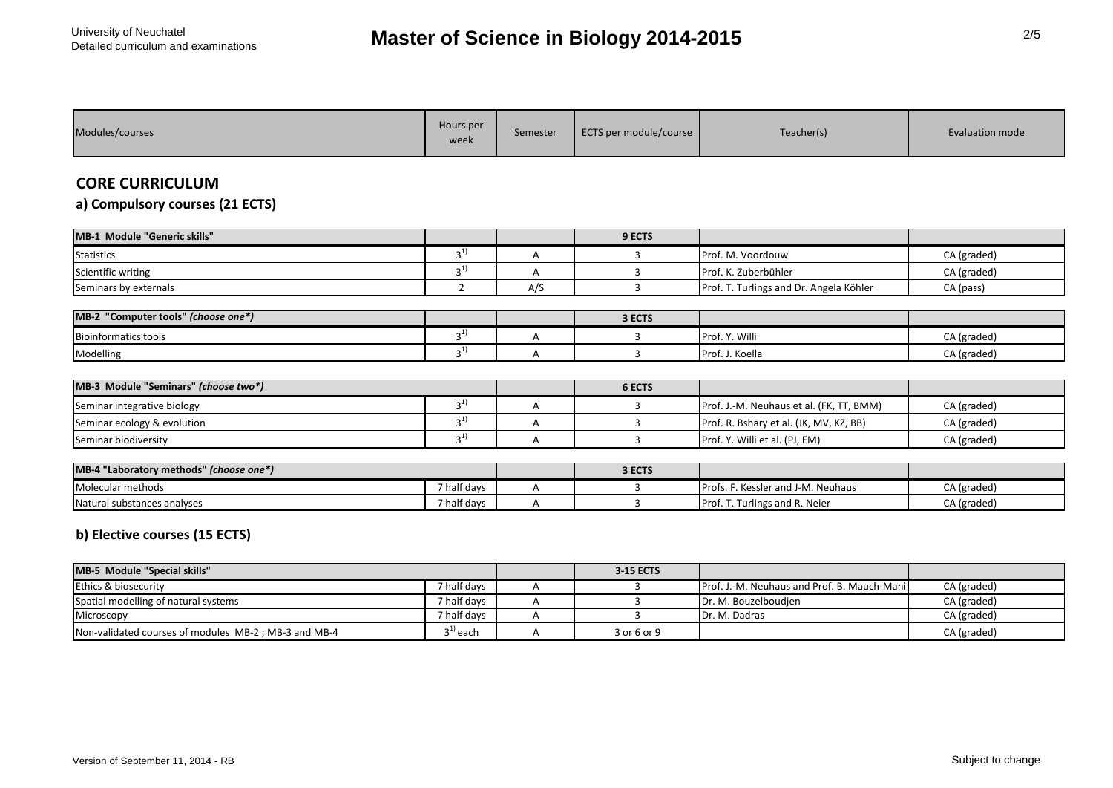| <b>Hours</b> per<br>Modules/courses<br>week | Semester | ECTS per module/course | Teacher(s) | Evaluation mode |
|---------------------------------------------|----------|------------------------|------------|-----------------|
|---------------------------------------------|----------|------------------------|------------|-----------------|

## **CORE CURRICULUM**

**a) Compulsory courses (21 ECTS)**

| <b>MB-1 Module "Generic skills"</b> |                      |     | 9 ECTS |                                         |             |
|-------------------------------------|----------------------|-----|--------|-----------------------------------------|-------------|
| <b>Statistics</b>                   | $\sim$ $\pm$         |     |        | Prof. M. Voordouw                       | CA (graded) |
| Scientific writing                  | $\sim$ $\pm$ $\cdot$ |     |        | Prof. K. Zuberbühler                    | CA (graded) |
| Seminars by externals               |                      | A/2 |        | Prof. T. Turlings and Dr. Angela Köhler | CA (pass)   |

| MB-2 "Computer tools" (choose one*) |              | 3 ECTS |                      |             |
|-------------------------------------|--------------|--------|----------------------|-------------|
| <b>Bioinformatics tools</b>         | $\sim$ $\pm$ |        | . Y. Willi<br>IProf. | CA (graded) |
| Modelling                           | $\sim$ $\pm$ |        | Prof. J. Koella      | CA (graded) |

| MB-3 Module "Seminars" (choose two*) |  | <b>6 ECTS</b> |                                          |             |
|--------------------------------------|--|---------------|------------------------------------------|-------------|
| Seminar integrative biology          |  |               | Prof. J.-M. Neuhaus et al. (FK, TT, BMM) | CA (graded) |
| Seminar ecology & evolution          |  |               | Prof. R. Bshary et al. (JK, MV, KZ, BB)  | CA (graded) |
| Seminar biodiversity                 |  |               | Prof. Y. Willi et al. (PJ, EM)           | CA (graded) |

| MB-4 "Laboratory methods" (choose one*) |             | 3 ECTS |                                                  |             |
|-----------------------------------------|-------------|--------|--------------------------------------------------|-------------|
| Molecular methods                       | 7 half days |        | s. F. Kessler and J-M. Neuhaus<br><b>IProfs.</b> | CA (graded) |
| Natural substances analyses             | 7 half days |        | . T. Turlings and R. Neier<br>Prof.              | CA (graded) |

## **b) Elective courses (15 ECTS)**

| MB-5 Module "Special skills"                         |                   | <b>3-15 ECTS</b> |                                             |             |
|------------------------------------------------------|-------------------|------------------|---------------------------------------------|-------------|
| Ethics & biosecurity                                 | 7 half days       |                  | Prof. J.-M. Neuhaus and Prof. B. Mauch-Mani | CA (graded) |
| Spatial modelling of natural systems                 | 7 half davs       |                  | Dr. M. Bouzelboudien                        | CA (graded) |
| Microscopy                                           | 7 half davs       |                  | Dr. M. Dadras                               | CA (graded) |
| Non-validated courses of modules MB-2; MB-3 and MB-4 | $^{\cdot1)}$ each | 3 or 6 or 9      |                                             | CA (graded) |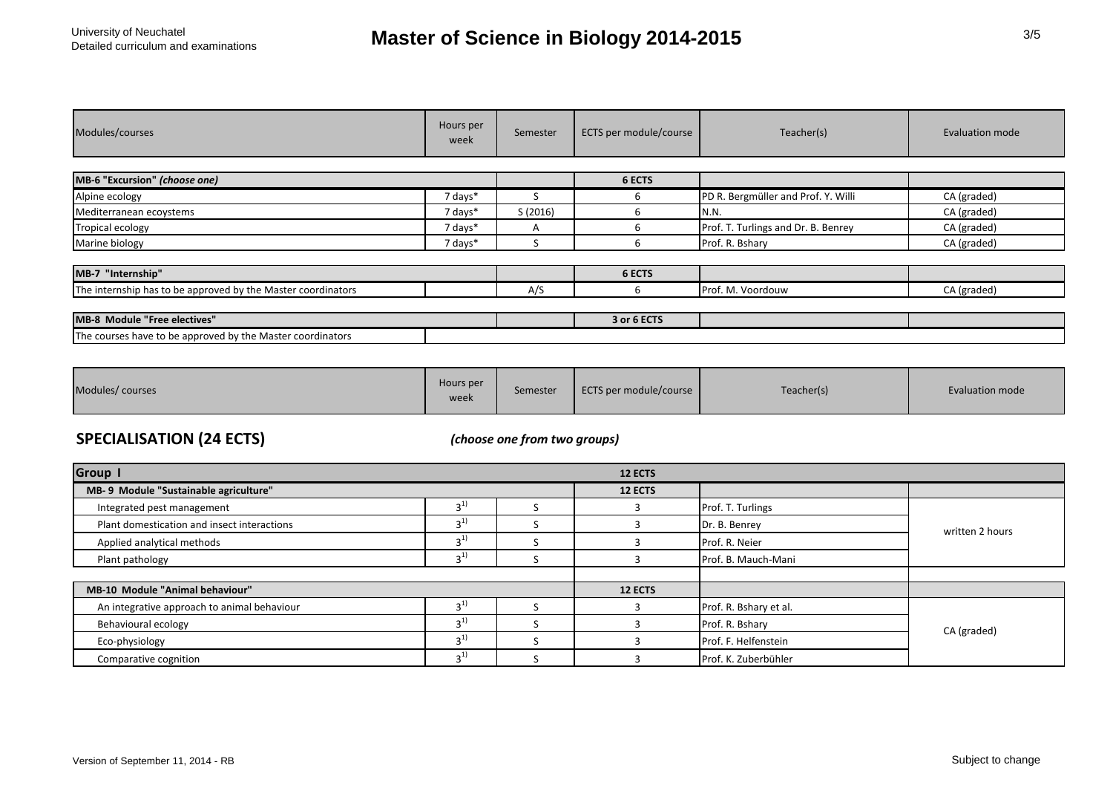| Modules/courses                                              | Hours per<br>week | Semester | ECTS per module/course | Teacher(s)                          | Evaluation mode |
|--------------------------------------------------------------|-------------------|----------|------------------------|-------------------------------------|-----------------|
|                                                              |                   |          |                        |                                     |                 |
| MB-6 "Excursion" (choose one)                                |                   |          | 6 ECTS                 |                                     |                 |
| Alpine ecology                                               | 7 days*           |          | 6                      | PD R. Bergmüller and Prof. Y. Willi | CA (graded)     |
| Mediterranean ecoystems                                      | 7 days*           | S(2016)  |                        | N.N.                                | CA (graded)     |
| <b>Tropical ecology</b>                                      | 7 days*           | A        |                        | Prof. T. Turlings and Dr. B. Benrey | CA (graded)     |
| Marine biology                                               | 7 days*           |          |                        | Prof. R. Bshary                     | CA (graded)     |
|                                                              |                   |          |                        |                                     |                 |
| MB-7 "Internship"                                            |                   |          | 6 ECTS                 |                                     |                 |
| The internship has to be approved by the Master coordinators |                   | A/S      | h                      | Prof. M. Voordouw                   | CA (graded)     |
|                                                              |                   |          |                        |                                     |                 |
| MB-8 Module "Free electives"                                 |                   |          | 3 or 6 ECTS            |                                     |                 |
| The courses have to be approved by the Master coordinators   |                   |          |                        |                                     |                 |

| Modules/courses | Hours per<br>week | Semester | ECTS per module/course | Teacher(s) | Evaluation mode |
|-----------------|-------------------|----------|------------------------|------------|-----------------|
|-----------------|-------------------|----------|------------------------|------------|-----------------|

## **SPECIALISATION (24 ECTS)** *(choose one from two groups)*

| <b>Group I</b>                              | <b>12 ECTS</b> |  |                |                        |                 |  |
|---------------------------------------------|----------------|--|----------------|------------------------|-----------------|--|
| MB-9 Module "Sustainable agriculture"       |                |  | 12 ECTS        |                        |                 |  |
| Integrated pest management                  | 2 <sup>1</sup> |  |                | Prof. T. Turlings      |                 |  |
| Plant domestication and insect interactions | 2 <sub>1</sub> |  |                | Dr. B. Benrey          | written 2 hours |  |
| Applied analytical methods                  | 2 <sup>1</sup> |  |                | Prof. R. Neier         |                 |  |
| Plant pathology                             | $3^{1}$        |  |                | Prof. B. Mauch-Mani    |                 |  |
|                                             |                |  |                |                        |                 |  |
| MB-10 Module "Animal behaviour"             |                |  | <b>12 ECTS</b> |                        |                 |  |
| An integrative approach to animal behaviour | 2 <sup>1</sup> |  |                | Prof. R. Bshary et al. |                 |  |
| Behavioural ecology                         | $\sim$ 1)      |  |                | Prof. R. Bshary        | CA (graded)     |  |
| Eco-physiology                              | $2^{1}$        |  |                | Prof. F. Helfenstein   |                 |  |
| Comparative cognition                       | 2 <sub>1</sub> |  |                | Prof. K. Zuberbühler   |                 |  |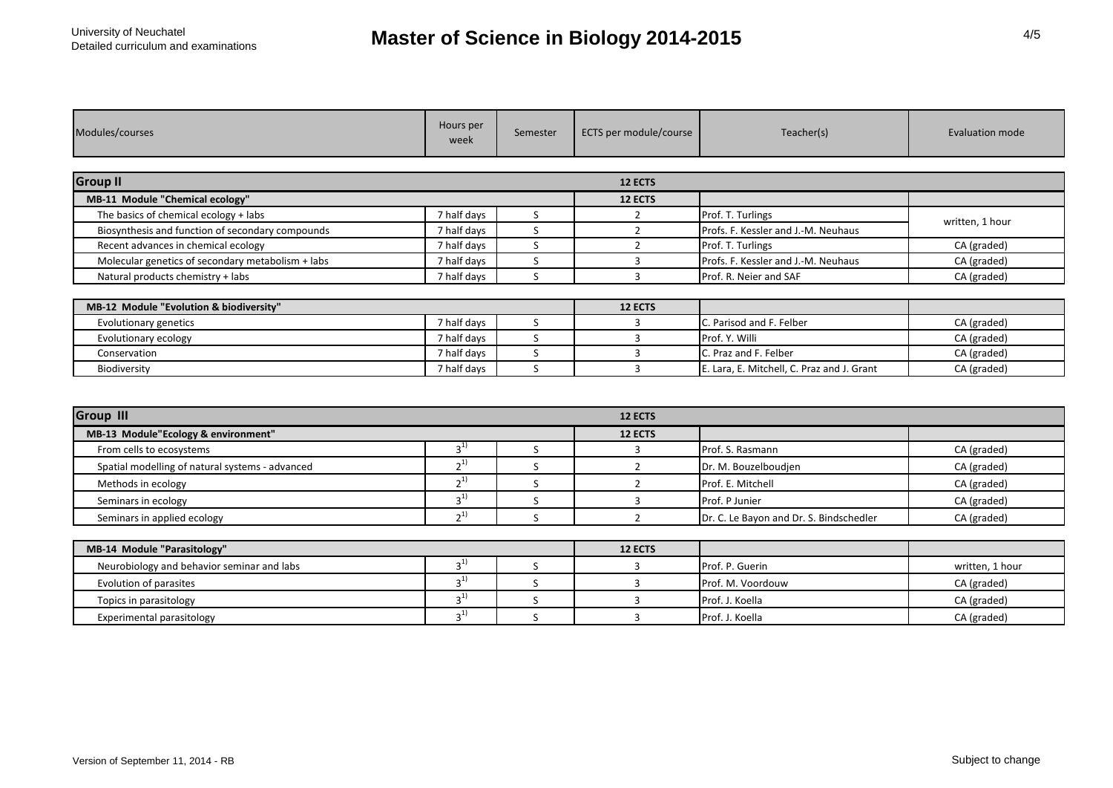| Modules/courses                                   | Hours per<br>week | Semester | ECTS per module/course | Teacher(s)                                 | <b>Evaluation mode</b> |
|---------------------------------------------------|-------------------|----------|------------------------|--------------------------------------------|------------------------|
| <b>Group II</b>                                   |                   |          | 12 ECTS                |                                            |                        |
| MB-11 Module "Chemical ecology"                   |                   |          | 12 ECTS                |                                            |                        |
| The basics of chemical ecology + labs             | 7 half days       | S.       | $\overline{2}$         | Prof. T. Turlings                          | written, 1 hour        |
| Biosynthesis and function of secondary compounds  | 7 half days       | S        | $\overline{2}$         | Profs. F. Kessler and J.-M. Neuhaus        |                        |
| Recent advances in chemical ecology               | 7 half days       | S        | 2                      | Prof. T. Turlings                          | CA (graded)            |
| Molecular genetics of secondary metabolism + labs | 7 half days       | S        | 3                      | Profs. F. Kessler and J.-M. Neuhaus        | CA (graded)            |
| Natural products chemistry + labs                 | 7 half days       | S.       | 3                      | Prof. R. Neier and SAF                     | CA (graded)            |
| MB-12 Module "Evolution & biodiversity"           |                   |          | 12 ECTS                |                                            |                        |
| Evolutionary genetics                             | 7 half days       | S        | 3                      | C. Parisod and F. Felber                   | CA (graded)            |
| Evolutionary ecology                              | 7 half days       | S        | 3                      | Prof. Y. Willi                             | CA (graded)            |
| Conservation                                      | 7 half days       | S        | 3                      | C. Praz and F. Felber                      | CA (graded)            |
| Biodiversity                                      | 7 half days       | S        | $\mathbf{a}$           | E. Lara, E. Mitchell, C. Praz and J. Grant | CA (graded)            |
|                                                   |                   |          |                        |                                            |                        |
| <b>Group III</b>                                  |                   |          | 12 ECTS                |                                            |                        |
| MB-13 Module"Ecology & environment"               |                   |          | 12 ECTS                |                                            |                        |
| From cells to ecosystems                          | $3^{1}$           | S        | 3                      | Prof. S. Rasmann                           | CA (graded)            |
| Spatial modelling of natural systems - advanced   | $2^{1}$           | S        | $\overline{2}$         | Dr. M. Bouzelboudjen                       | CA (graded)            |
| Methods in ecology                                | $2^{1}$           | S        | $\overline{2}$         | Prof. E. Mitchell                          | CA (graded)            |
| Seminars in ecology                               | $3^{1}$           | S        | 3                      | Prof. P Junier                             | CA (graded)            |
| Seminars in applied ecology                       | $2^{1}$           | S        | $\overline{2}$         | Dr. C. Le Bayon and Dr. S. Bindschedler    | CA (graded)            |

| MB-14 Module "Parasitology"                |  |  | <b>12 ECTS</b> |                   |                 |
|--------------------------------------------|--|--|----------------|-------------------|-----------------|
| Neurobiology and behavior seminar and labs |  |  |                | Prof. P. Guerin   | written. 1 hour |
| Evolution of parasites                     |  |  |                | Prof. M. Voordouw | CA (graded)     |
| Topics in parasitology                     |  |  |                | Prof. J. Koella   | CA (graded)     |
| Experimental parasitology                  |  |  |                | Prof. J. Koella   | CA (graded)     |